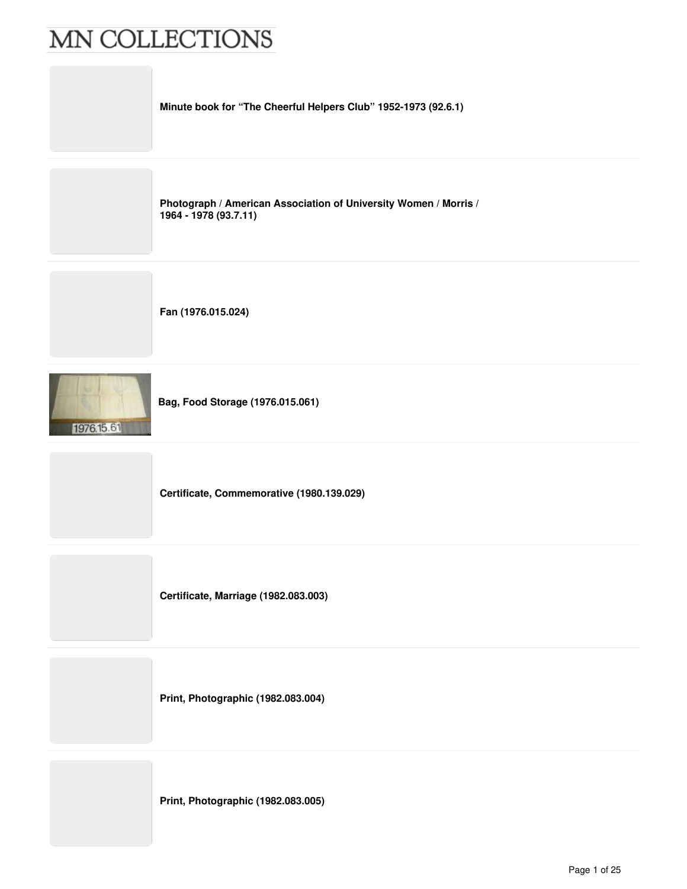

**Print, Photographic (1982.083.004)**

**Print, Photographic (1982.083.005)**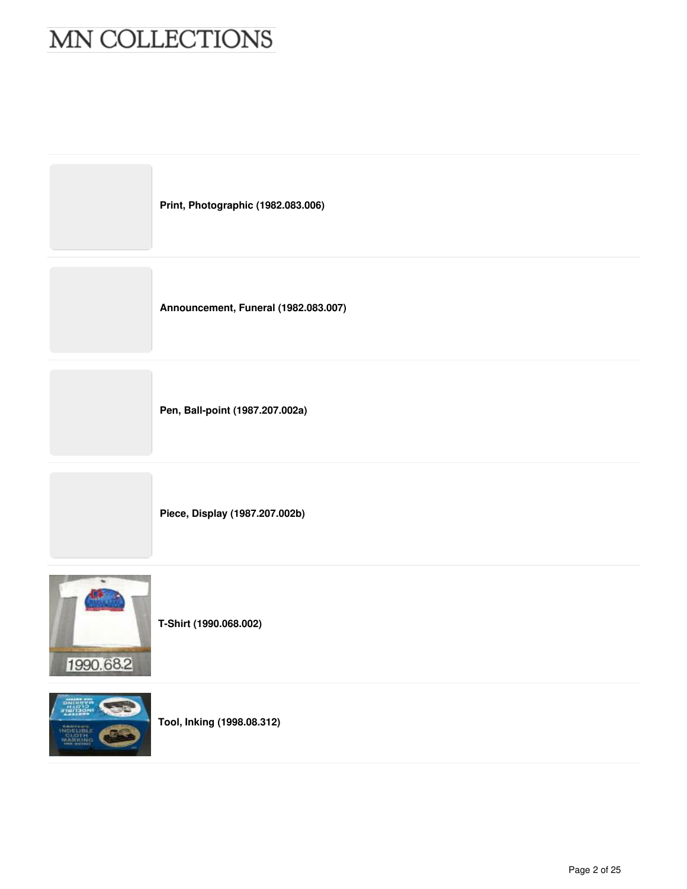



**T-Shirt (1990.068.002)**



**Tool, Inking (1998.08.312)**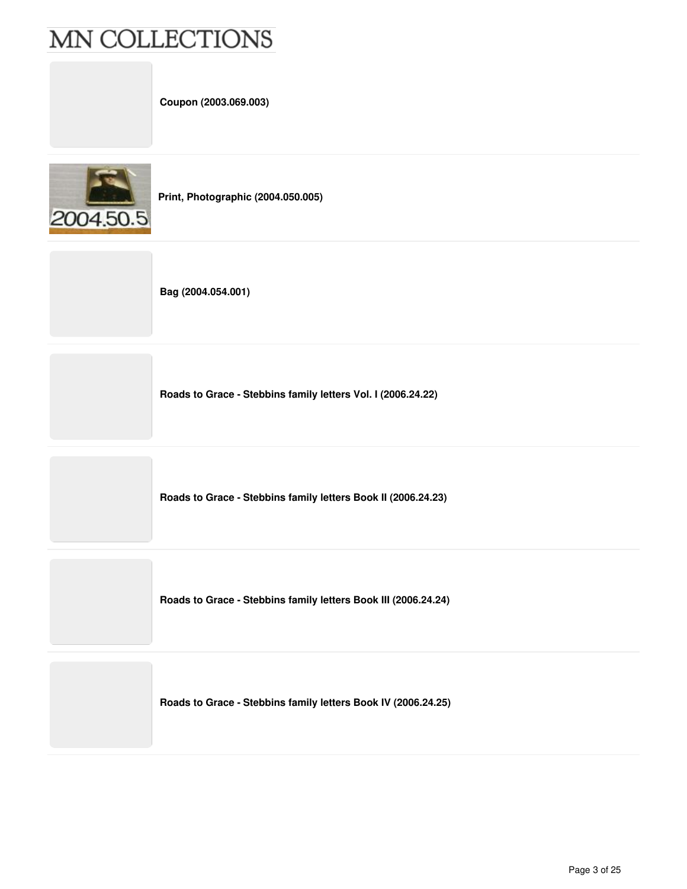**Coupon (2003.069.003)**



**Print, Photographic (2004.050.005)**

**Bag (2004.054.001)**

**Roads to Grace - Stebbins family letters Vol. I (2006.24.22)**

**Roads to Grace - Stebbins family letters Book II (2006.24.23)**

**Roads to Grace - Stebbins family letters Book III (2006.24.24)**

**Roads to Grace - Stebbins family letters Book IV (2006.24.25)**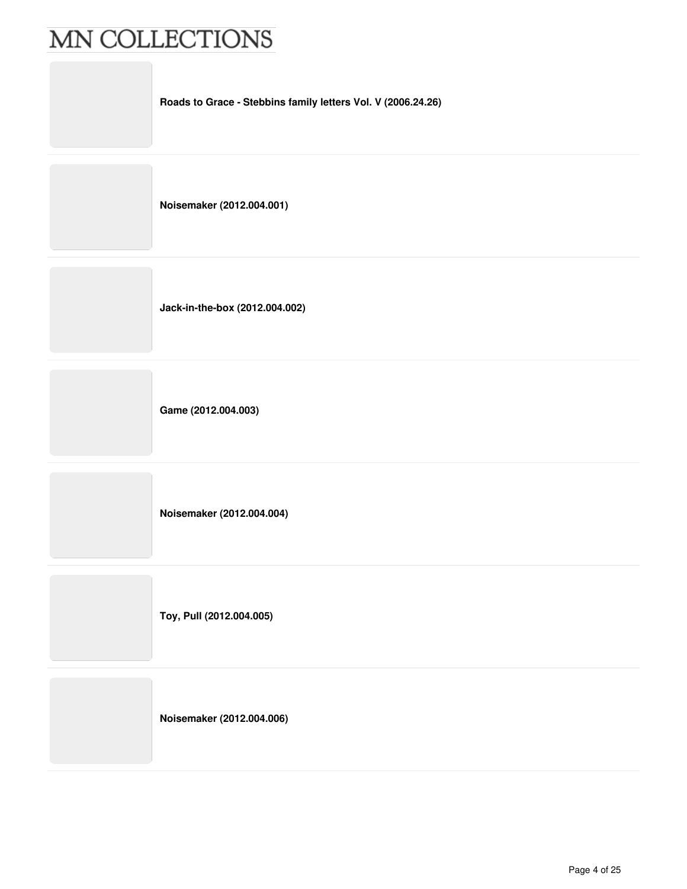**Roads to Grace - Stebbins family letters Vol. V (2006.24.26)**

**Noisemaker (2012.004.001)**

**Jack-in-the-box (2012.004.002)**

**Game (2012.004.003)**

**Noisemaker (2012.004.004)**

**Toy, Pull (2012.004.005)**

**Noisemaker (2012.004.006)**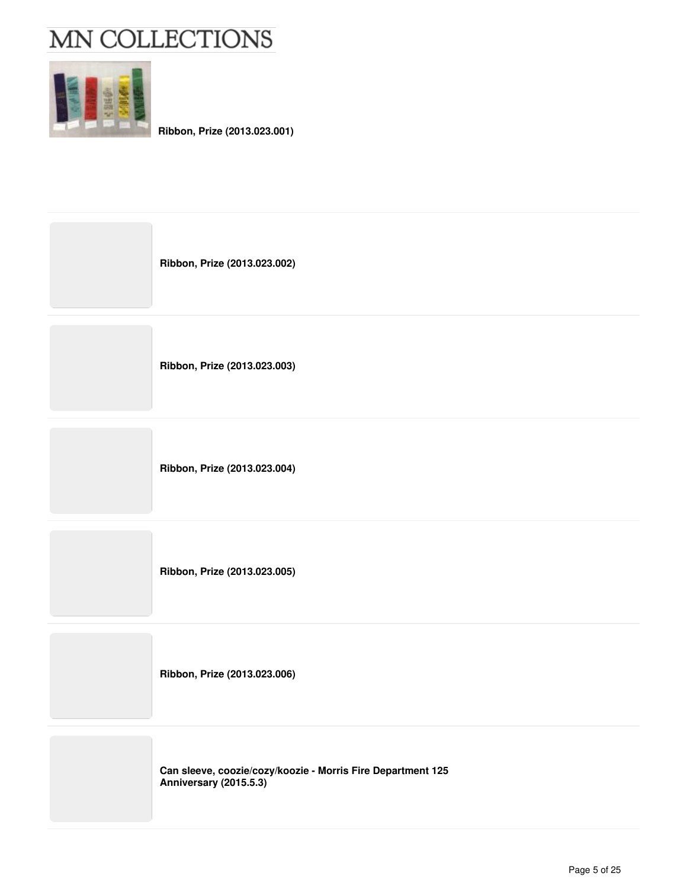

**Ribbon, Prize (2013.023.001)**

| Ribbon, Prize (2013.023.002)                                                          |
|---------------------------------------------------------------------------------------|
| Ribbon, Prize (2013.023.003)                                                          |
| Ribbon, Prize (2013.023.004)                                                          |
| Ribbon, Prize (2013.023.005)                                                          |
| Ribbon, Prize (2013.023.006)                                                          |
| Can sleeve, coozie/cozy/koozie - Morris Fire Department 125<br>Anniversary (2015.5.3) |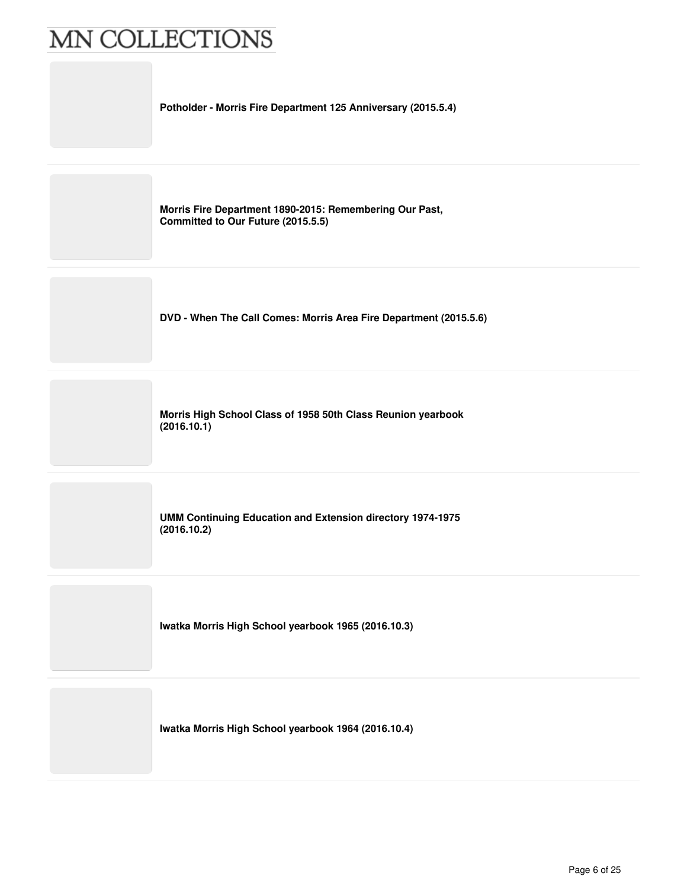**Potholder - Morris Fire Department 125 Anniversary (2015.5.4)**

**Morris Fire Department 1890-2015: Remembering Our Past, Committed to Our Future (2015.5.5)**

**DVD - When The Call Comes: Morris Area Fire Department (2015.5.6)**

**Morris High School Class of 1958 50th Class Reunion yearbook (2016.10.1)**

**UMM Continuing Education and Extension directory 1974-1975 (2016.10.2)**

**Iwatka Morris High School yearbook 1965 (2016.10.3)**

**Iwatka Morris High School yearbook 1964 (2016.10.4)**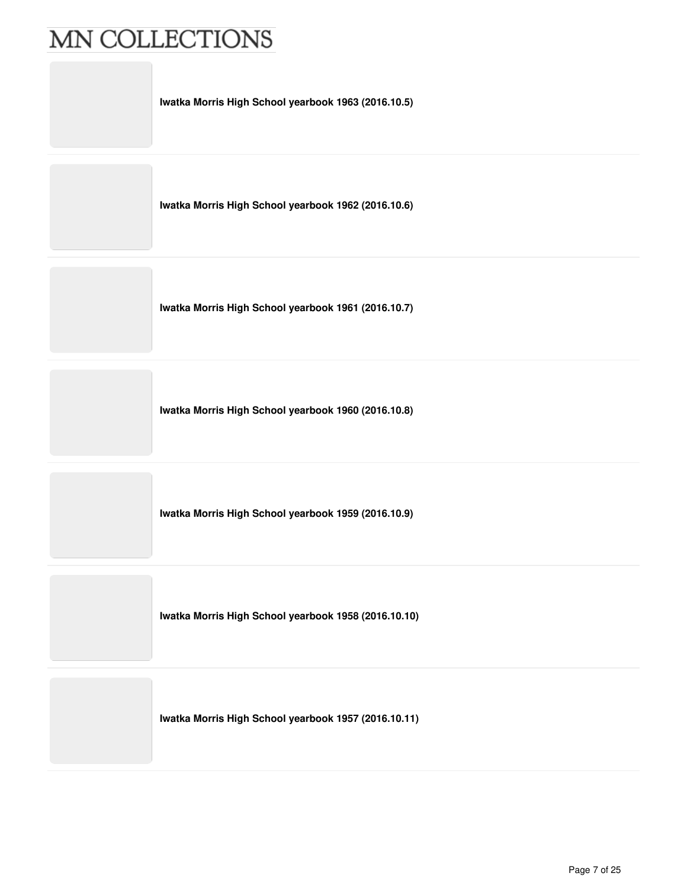**Iwatka Morris High School yearbook 1963 (2016.10.5)**

**Iwatka Morris High School yearbook 1962 (2016.10.6)**

**Iwatka Morris High School yearbook 1961 (2016.10.7)**

**Iwatka Morris High School yearbook 1960 (2016.10.8)**

**Iwatka Morris High School yearbook 1959 (2016.10.9)**

**Iwatka Morris High School yearbook 1958 (2016.10.10)**

**Iwatka Morris High School yearbook 1957 (2016.10.11)**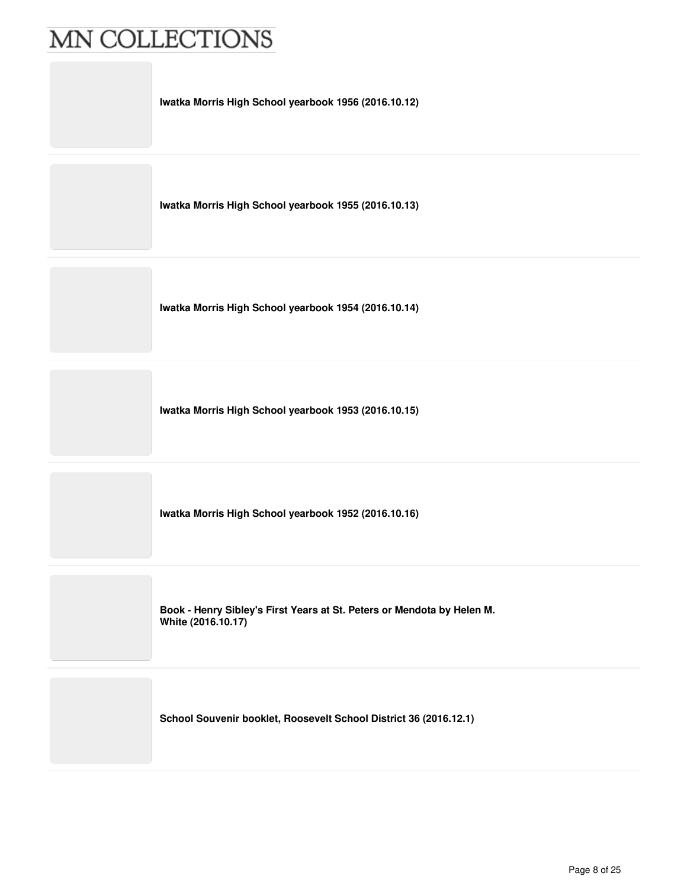**Iwatka Morris High School yearbook 1956 (2016.10.12)**

**Iwatka Morris High School yearbook 1955 (2016.10.13)**

**Iwatka Morris High School yearbook 1954 (2016.10.14)**

**Iwatka Morris High School yearbook 1953 (2016.10.15)**

**Iwatka Morris High School yearbook 1952 (2016.10.16)**

**Book - Henry Sibley's First Years at St. Peters or Mendota by Helen M. White (2016.10.17)**

**School Souvenir booklet, Roosevelt School District 36 (2016.12.1)**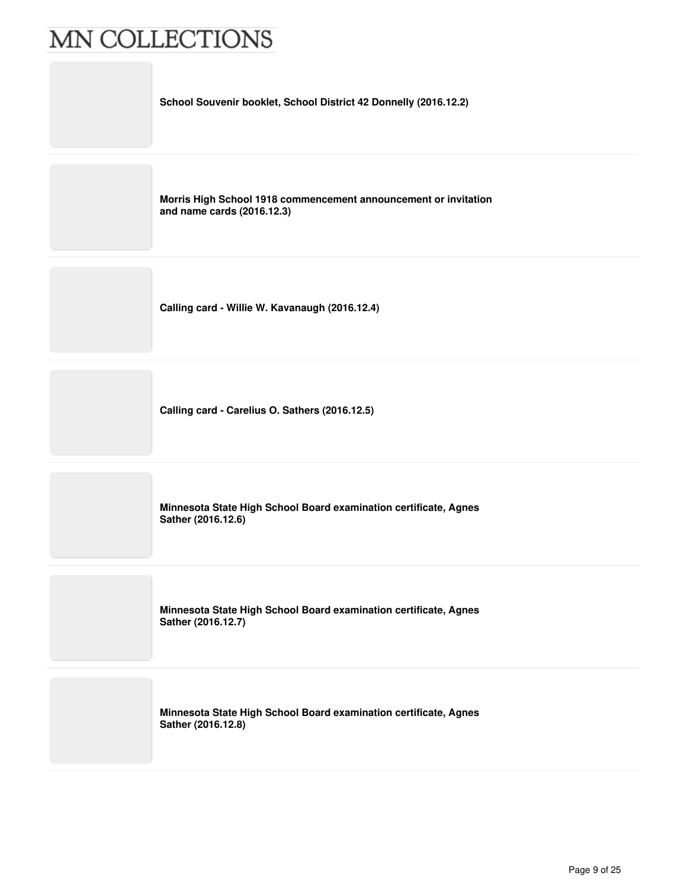**School Souvenir booklet, School District 42 Donnelly (2016.12.2)**

**Morris High School 1918 commencement announcement or invitation and name cards (2016.12.3)**

**Calling card - Willie W. Kavanaugh (2016.12.4)**

**Calling card - Carelius O. Sathers (2016.12.5)**

**Minnesota State High School Board examination certificate, Agnes Sather (2016.12.6)**

**Minnesota State High School Board examination certificate, Agnes Sather (2016.12.7)**

**Minnesota State High School Board examination certificate, Agnes Sather (2016.12.8)**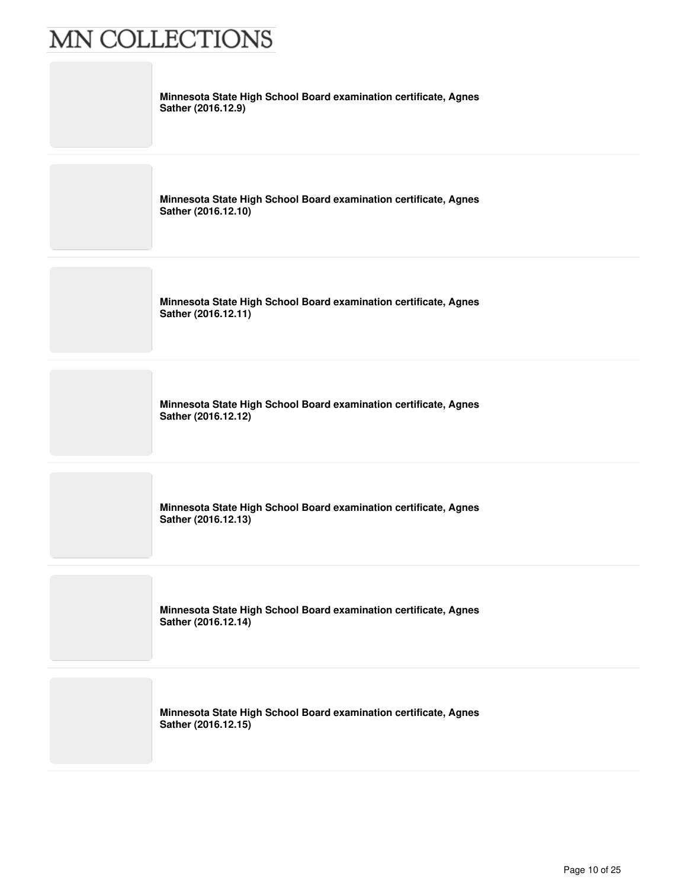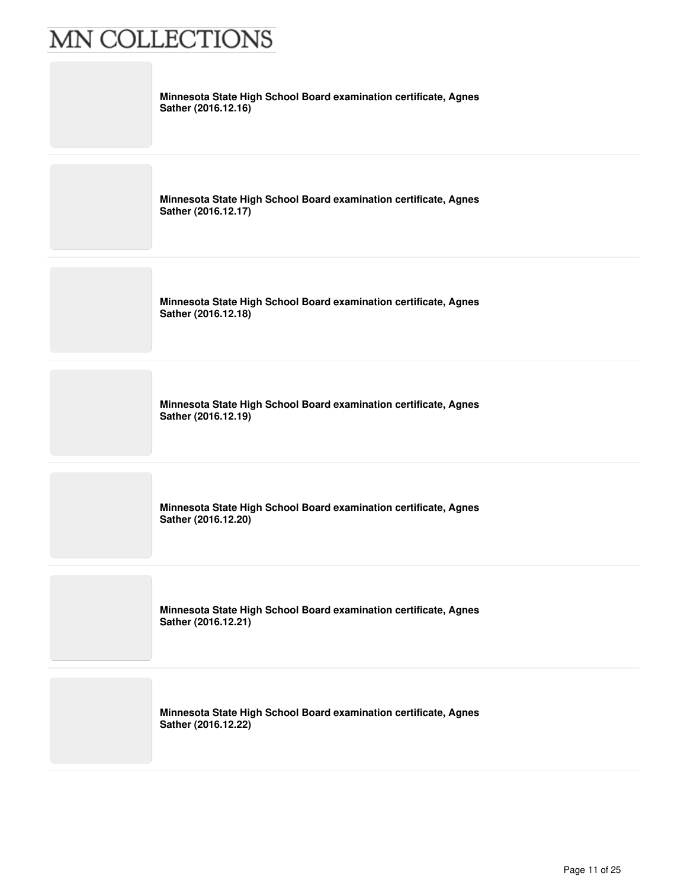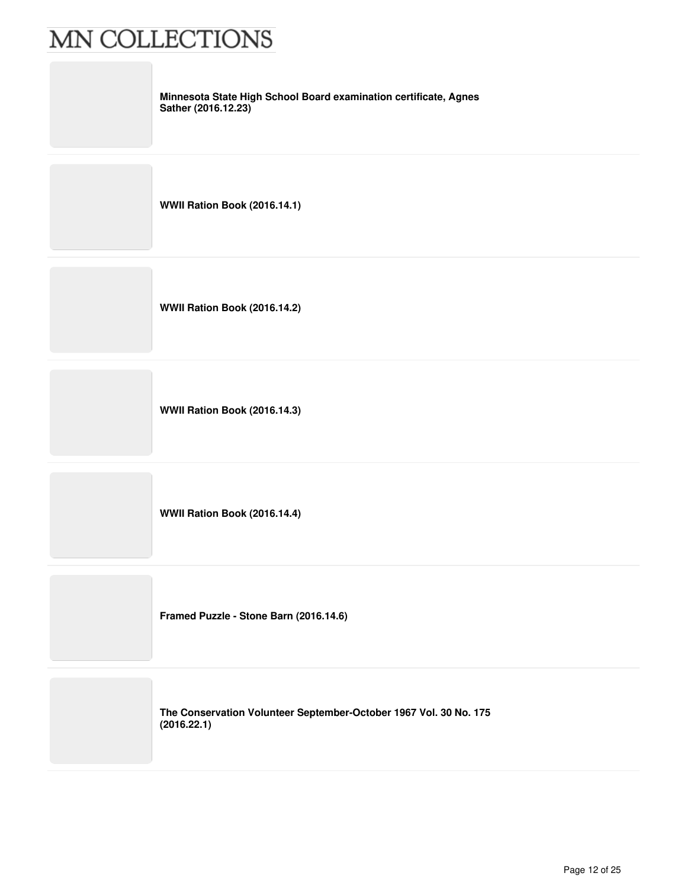**Minnesota State High School Board examination certificate, Agnes Sather (2016.12.23)**

**WWII Ration Book (2016.14.1)**

**WWII Ration Book (2016.14.2)**

**WWII Ration Book (2016.14.3)**

**WWII Ration Book (2016.14.4)**

**Framed Puzzle - Stone Barn (2016.14.6)**

**The Conservation Volunteer September-October 1967 Vol. 30 No. 175 (2016.22.1)**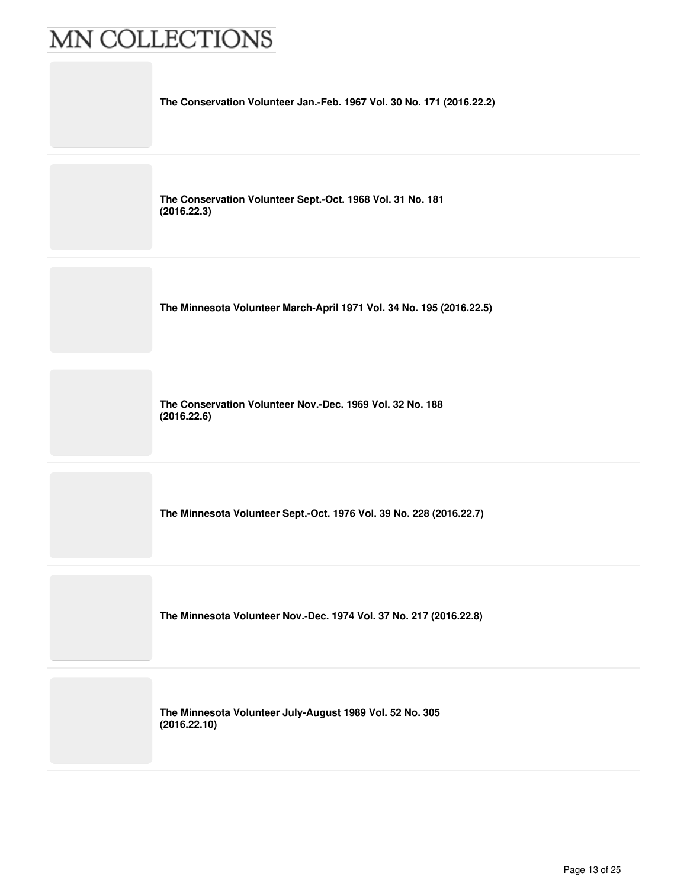

**The Conservation Volunteer Sept.-Oct. 1968 Vol. 31 No. 181 (2016.22.3)**

**The Minnesota Volunteer March-April 1971 Vol. 34 No. 195 (2016.22.5)**

**The Conservation Volunteer Nov.-Dec. 1969 Vol. 32 No. 188 (2016.22.6)**

**The Minnesota Volunteer Sept.-Oct. 1976 Vol. 39 No. 228 (2016.22.7)**

**The Minnesota Volunteer Nov.-Dec. 1974 Vol. 37 No. 217 (2016.22.8)**

**The Minnesota Volunteer July-August 1989 Vol. 52 No. 305 (2016.22.10)**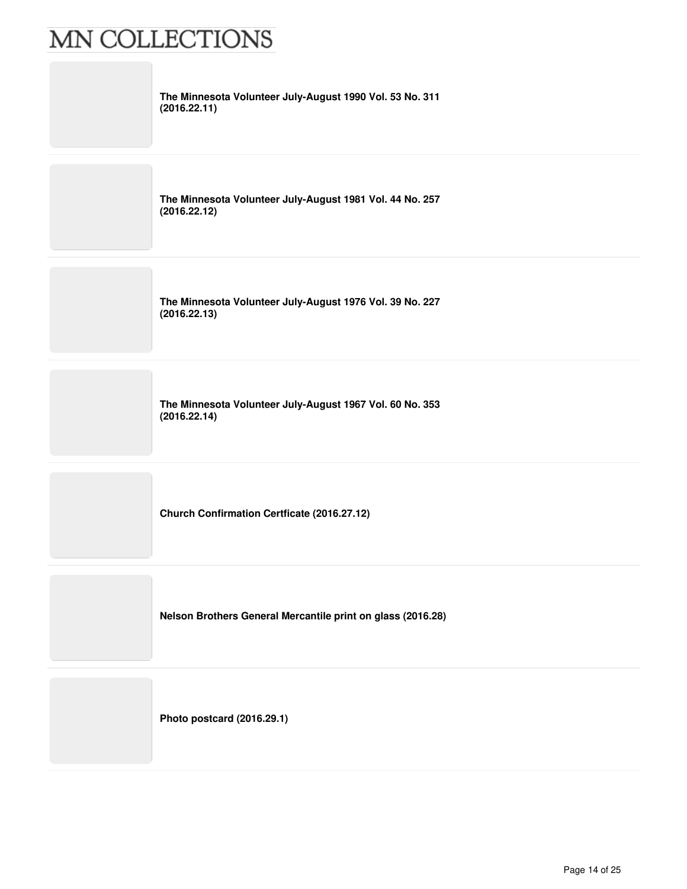| The Minnesota Volunteer July-August 1990 Vol. 53 No. 311<br>(2016.22.11) |
|--------------------------------------------------------------------------|
| The Minnesota Volunteer July-August 1981 Vol. 44 No. 257<br>(2016.22.12) |
| The Minnesota Volunteer July-August 1976 Vol. 39 No. 227<br>(2016.22.13) |
| The Minnesota Volunteer July-August 1967 Vol. 60 No. 353<br>(2016.22.14) |
| Church Confirmation Certficate (2016.27.12)                              |
| Nelson Brothers General Mercantile print on glass (2016.28)              |
| Photo postcard (2016.29.1)                                               |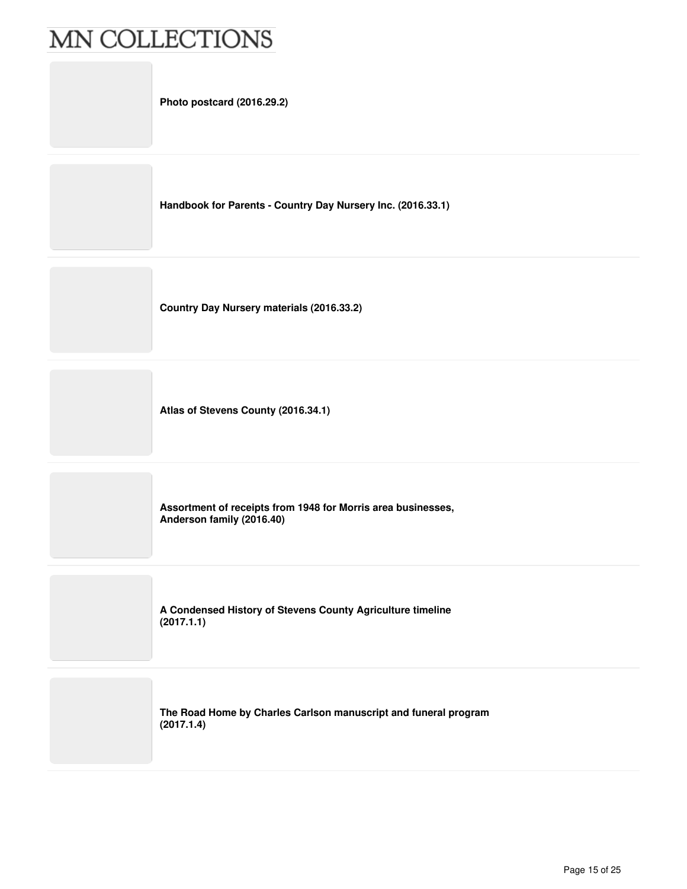**Photo postcard (2016.29.2)**

**Handbook for Parents - Country Day Nursery Inc. (2016.33.1)**

**Country Day Nursery materials (2016.33.2)**

**Atlas of Stevens County (2016.34.1)**

**Assortment of receipts from 1948 for Morris area businesses, Anderson family (2016.40)**

**A Condensed History of Stevens County Agriculture timeline (2017.1.1)**

**The Road Home by Charles Carlson manuscript and funeral program (2017.1.4)**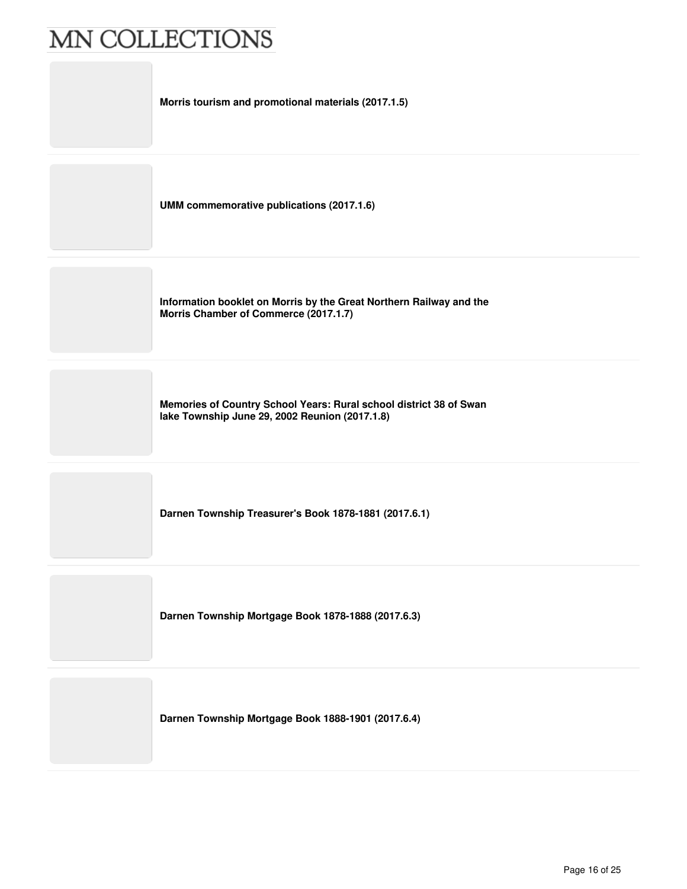**Morris tourism and promotional materials (2017.1.5)**

**UMM commemorative publications (2017.1.6)**

**Information booklet on Morris by the Great Northern Railway and the Morris Chamber of Commerce (2017.1.7)**

**Memories of Country School Years: Rural school district 38 of Swan lake Township June 29, 2002 Reunion (2017.1.8)**

**Darnen Township Treasurer's Book 1878-1881 (2017.6.1)**

**Darnen Township Mortgage Book 1878-1888 (2017.6.3)**

**Darnen Township Mortgage Book 1888-1901 (2017.6.4)**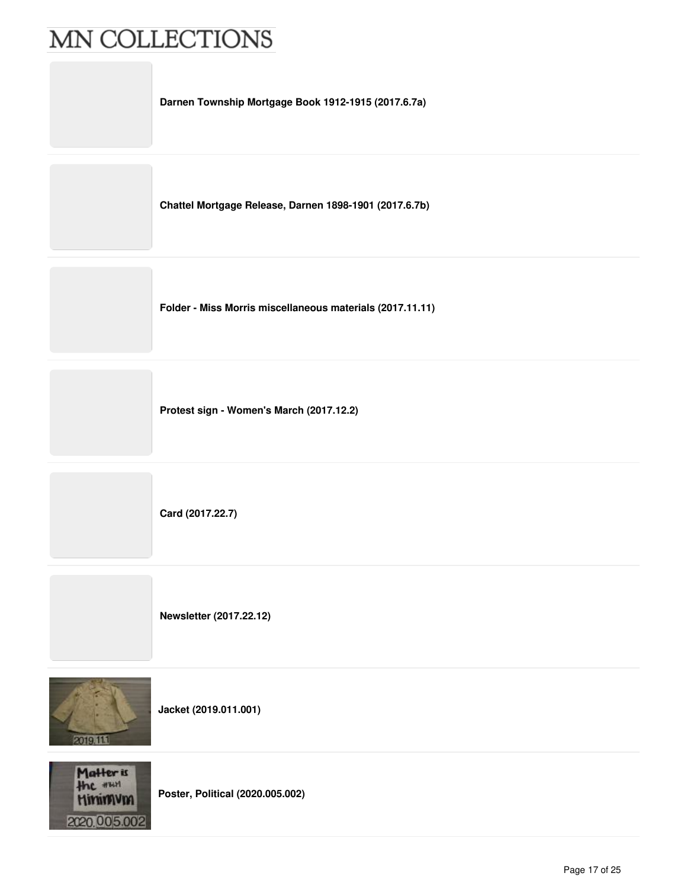**Darnen Township Mortgage Book 1912-1915 (2017.6.7a)**

**Chattel Mortgage Release, Darnen 1898-1901 (2017.6.7b)**

**Folder - Miss Morris miscellaneous materials (2017.11.11)**

**Protest sign - Women's March (2017.12.2)**

**Card (2017.22.7)**

**Newsletter (2017.22.12)**



**Jacket (2019.011.001)**



**Poster, Political (2020.005.002)**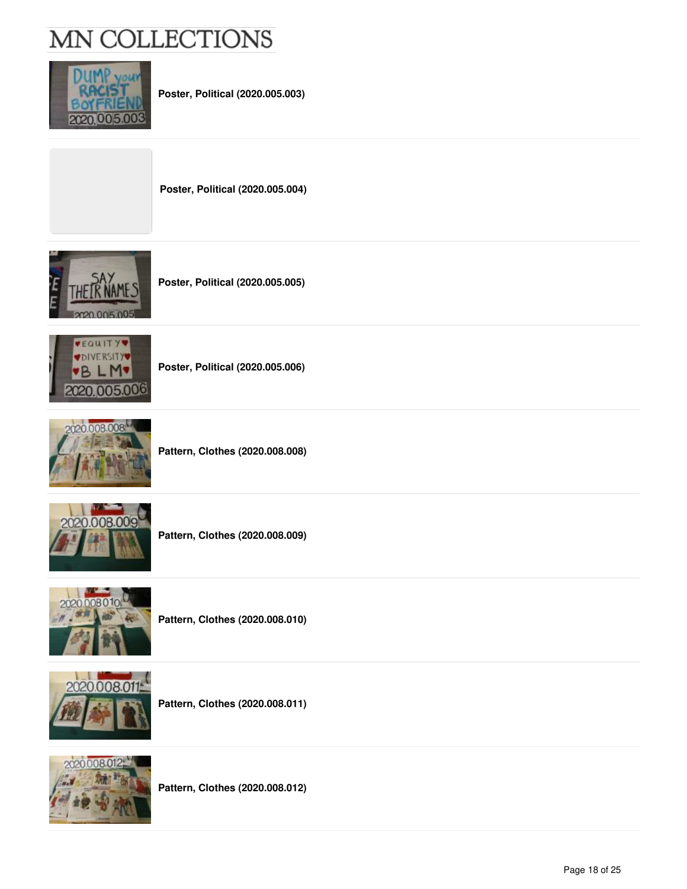

**Poster, Political (2020.005.003)**

**Poster, Political (2020.005.004)**







**Poster, Political (2020.005.006)**



**Pattern, Clothes (2020.008.008)**



**Pattern, Clothes (2020.008.009)**



**Pattern, Clothes (2020.008.010)**



**Pattern, Clothes (2020.008.011)**



**Pattern, Clothes (2020.008.012)**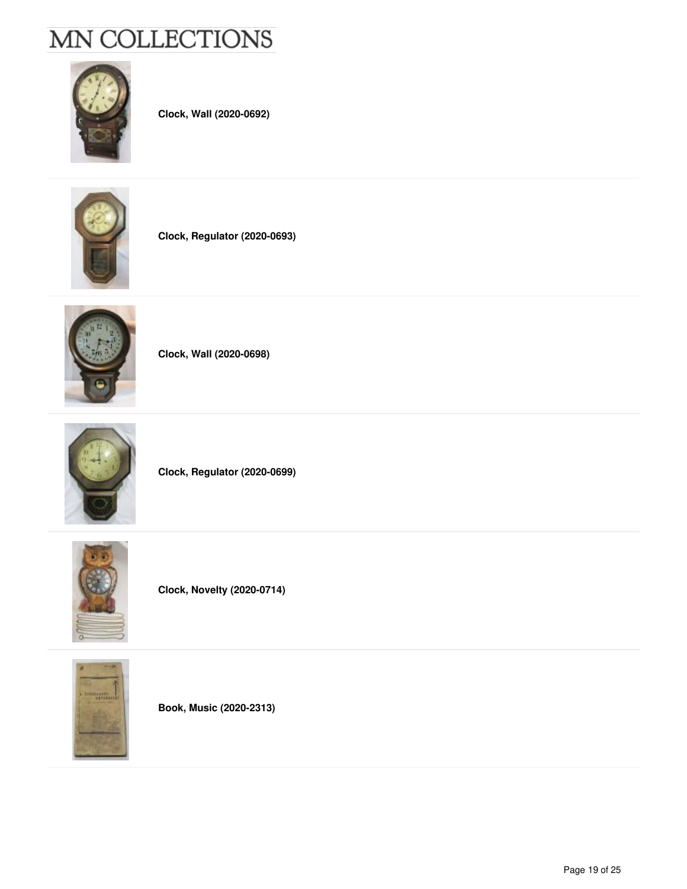

**Clock, Wall (2020-0692)**



**Clock, Regulator (2020-0693)**



**Clock, Wall (2020-0698)**



**Clock, Regulator (2020-0699)**



**Clock, Novelty (2020-0714)**



**Book, Music (2020-2313)**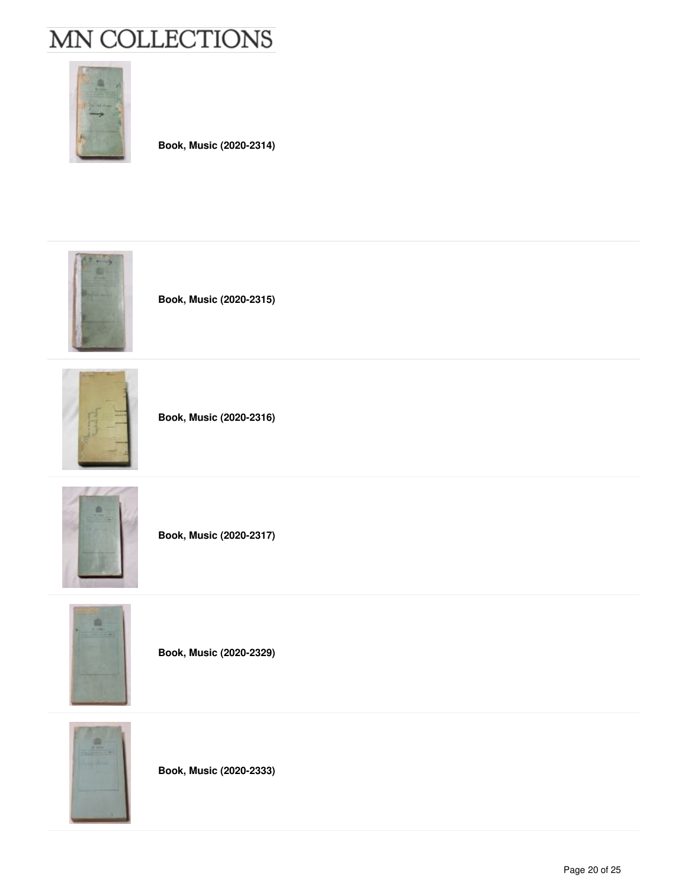

**Book, Music (2020-2314)**



**Book, Music (2020-2315)**



**Book, Music (2020-2316)**



**Book, Music (2020-2317)**



**Book, Music (2020-2329)**



**Book, Music (2020-2333)**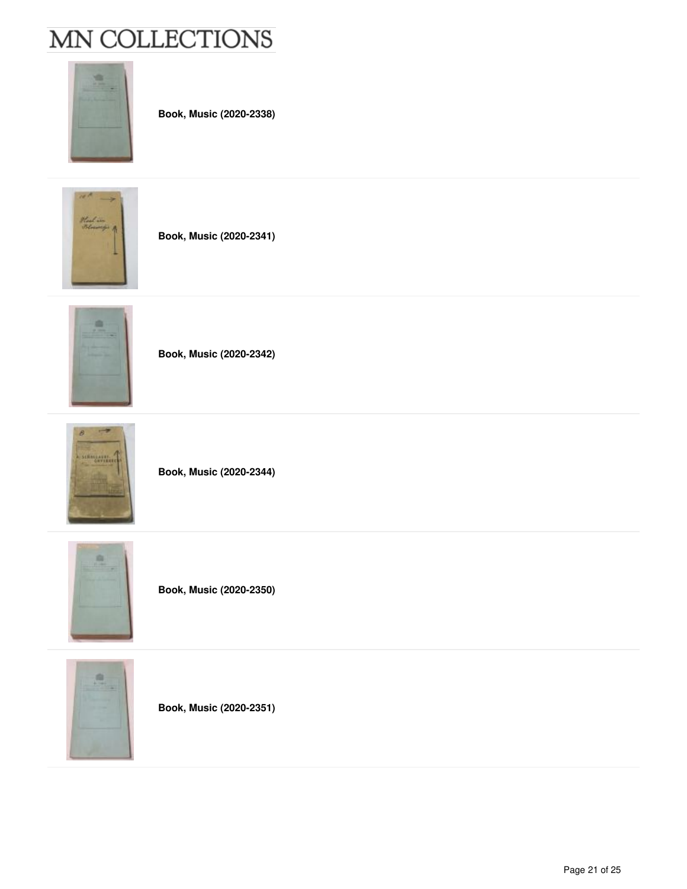

**Book, Music (2020-2338)**



**Book, Music (2020-2341)**



**Book, Music (2020-2342)**



**Book, Music (2020-2344)**







**Book, Music (2020-2351)**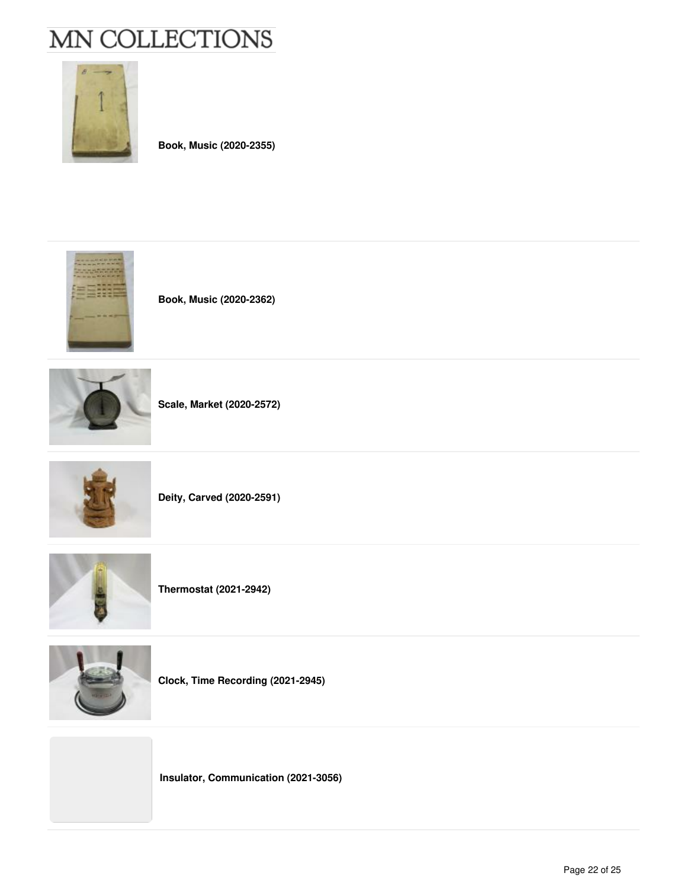

**Book, Music (2020-2355)**



**Book, Music (2020-2362)**



**Scale, Market (2020-2572)**



**Deity, Carved (2020-2591)**



**Thermostat (2021-2942)**



**Clock, Time Recording (2021-2945)**

**Insulator, Communication (2021-3056)**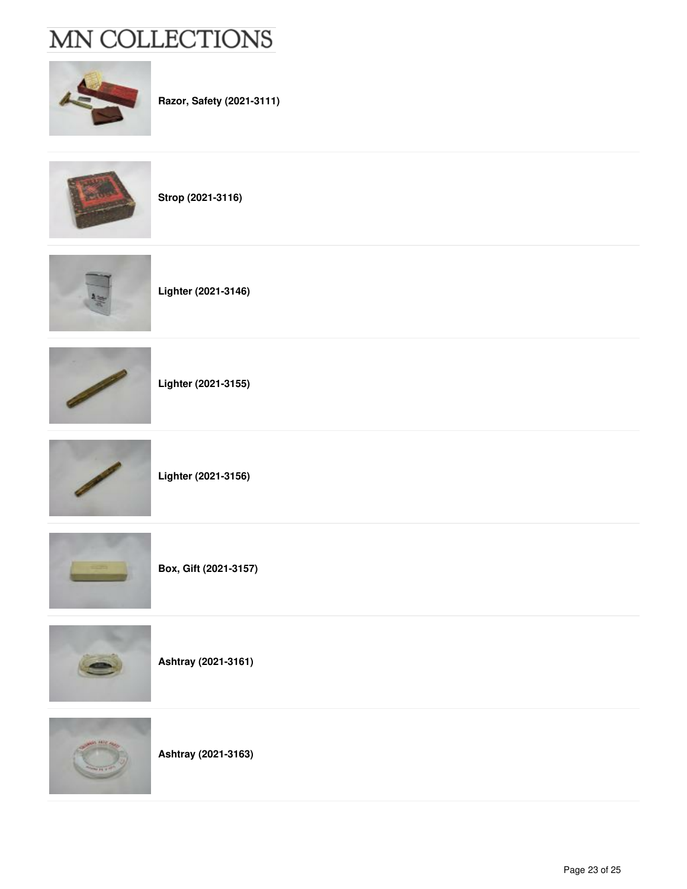

**Razor, Safety (2021-3111)**

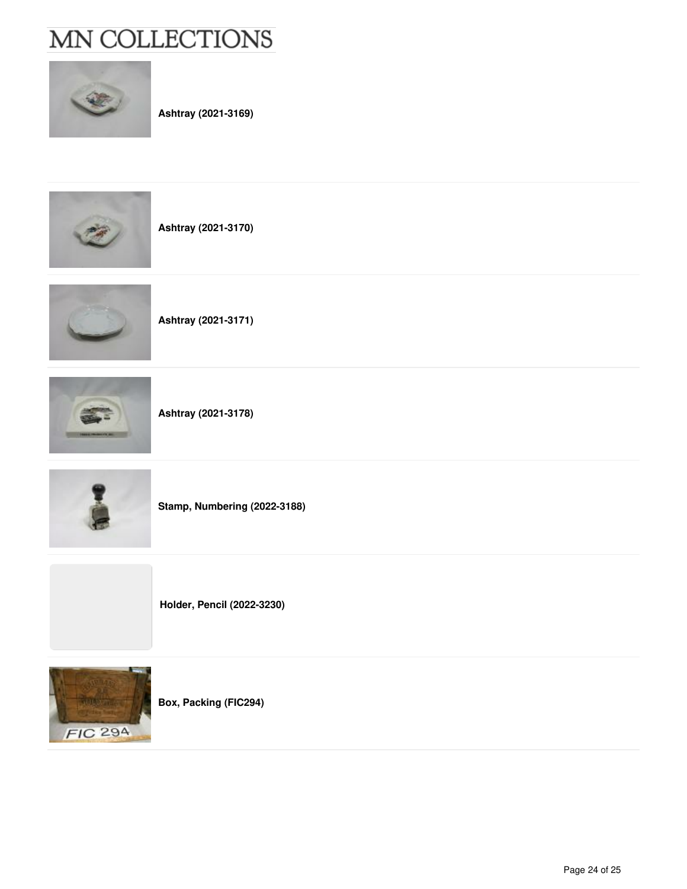

**Ashtray (2021-3169)**